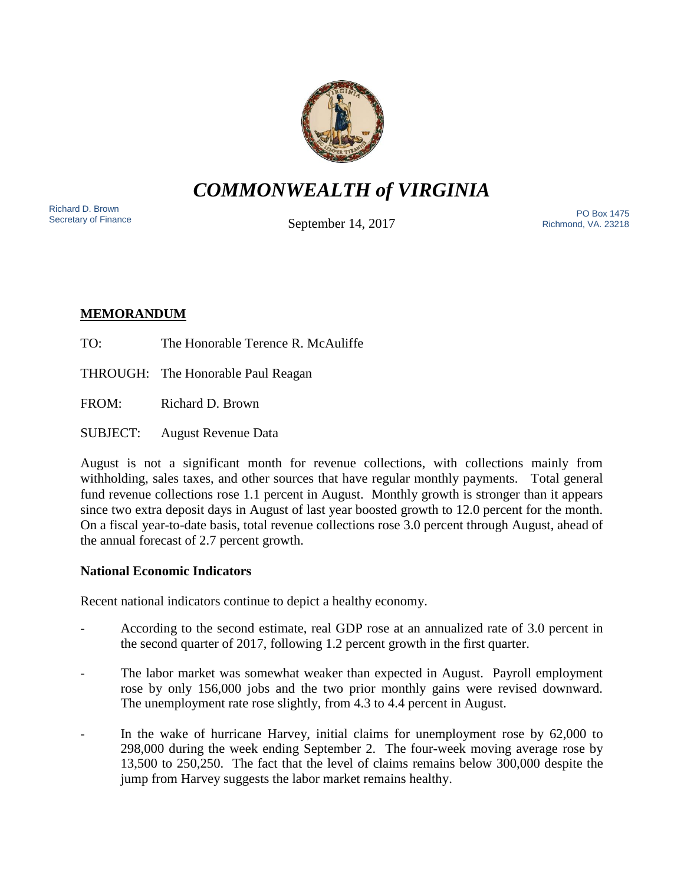

*COMMONWEALTH of VIRGINIA*

Richard D. Brown<br>Secretary of Finance

September 14, 2017

Nichard D. Brown<br>Secretary of Finance The PO Box 1475 Richmond, VA. 23218

# **MEMORANDUM**

- TO: The Honorable Terence R. McAuliffe
- THROUGH: The Honorable Paul Reagan
- FROM: Richard D. Brown
- SUBJECT: August Revenue Data

August is not a significant month for revenue collections, with collections mainly from withholding, sales taxes, and other sources that have regular monthly payments. Total general fund revenue collections rose 1.1 percent in August. Monthly growth is stronger than it appears since two extra deposit days in August of last year boosted growth to 12.0 percent for the month. On a fiscal year-to-date basis, total revenue collections rose 3.0 percent through August, ahead of the annual forecast of 2.7 percent growth.

## **National Economic Indicators**

Recent national indicators continue to depict a healthy economy.

- According to the second estimate, real GDP rose at an annualized rate of 3.0 percent in the second quarter of 2017, following 1.2 percent growth in the first quarter.
- The labor market was somewhat weaker than expected in August. Payroll employment rose by only 156,000 jobs and the two prior monthly gains were revised downward. The unemployment rate rose slightly, from 4.3 to 4.4 percent in August.
- In the wake of hurricane Harvey, initial claims for unemployment rose by 62,000 to 298,000 during the week ending September 2. The four-week moving average rose by 13,500 to 250,250. The fact that the level of claims remains below 300,000 despite the jump from Harvey suggests the labor market remains healthy.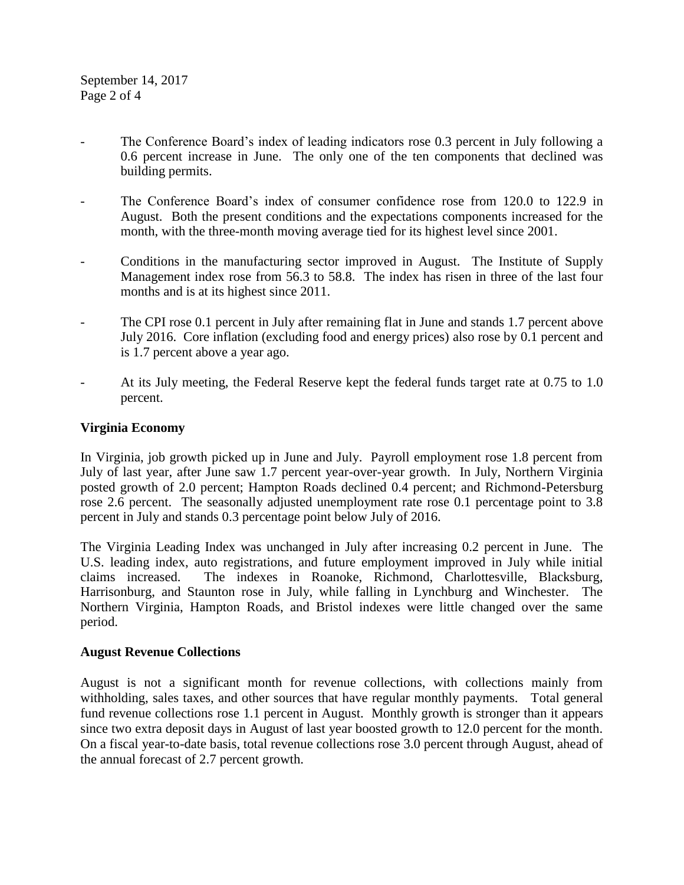- The Conference Board's index of leading indicators rose 0.3 percent in July following a 0.6 percent increase in June. The only one of the ten components that declined was building permits.
- The Conference Board's index of consumer confidence rose from 120.0 to 122.9 in August. Both the present conditions and the expectations components increased for the month, with the three-month moving average tied for its highest level since 2001.
- Conditions in the manufacturing sector improved in August. The Institute of Supply Management index rose from 56.3 to 58.8. The index has risen in three of the last four months and is at its highest since 2011.
- The CPI rose 0.1 percent in July after remaining flat in June and stands 1.7 percent above July 2016. Core inflation (excluding food and energy prices) also rose by 0.1 percent and is 1.7 percent above a year ago.
- At its July meeting, the Federal Reserve kept the federal funds target rate at 0.75 to 1.0 percent.

### **Virginia Economy**

In Virginia, job growth picked up in June and July. Payroll employment rose 1.8 percent from July of last year, after June saw 1.7 percent year-over-year growth. In July, Northern Virginia posted growth of 2.0 percent; Hampton Roads declined 0.4 percent; and Richmond-Petersburg rose 2.6 percent. The seasonally adjusted unemployment rate rose 0.1 percentage point to 3.8 percent in July and stands 0.3 percentage point below July of 2016.

The Virginia Leading Index was unchanged in July after increasing 0.2 percent in June. The U.S. leading index, auto registrations, and future employment improved in July while initial claims increased. The indexes in Roanoke, Richmond, Charlottesville, Blacksburg, Harrisonburg, and Staunton rose in July, while falling in Lynchburg and Winchester. The Northern Virginia, Hampton Roads, and Bristol indexes were little changed over the same period.

### **August Revenue Collections**

August is not a significant month for revenue collections, with collections mainly from withholding, sales taxes, and other sources that have regular monthly payments. Total general fund revenue collections rose 1.1 percent in August. Monthly growth is stronger than it appears since two extra deposit days in August of last year boosted growth to 12.0 percent for the month. On a fiscal year-to-date basis, total revenue collections rose 3.0 percent through August, ahead of the annual forecast of 2.7 percent growth.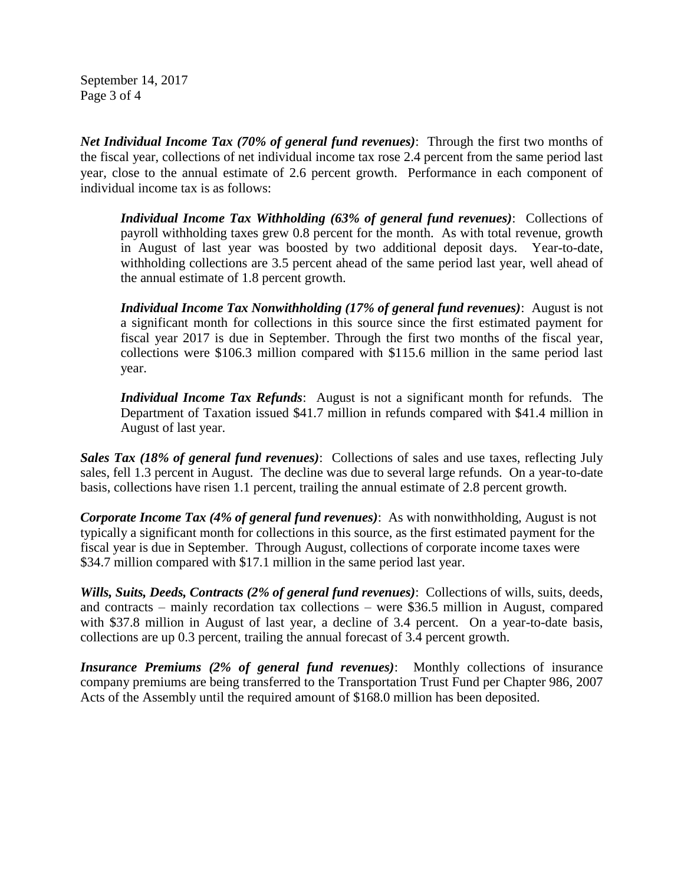September 14, 2017 Page 3 of 4

*Net Individual Income Tax (70% of general fund revenues)*: Through the first two months of the fiscal year, collections of net individual income tax rose 2.4 percent from the same period last year, close to the annual estimate of 2.6 percent growth. Performance in each component of individual income tax is as follows:

*Individual Income Tax Withholding (63% of general fund revenues)*: Collections of payroll withholding taxes grew 0.8 percent for the month. As with total revenue, growth in August of last year was boosted by two additional deposit days. Year-to-date, withholding collections are 3.5 percent ahead of the same period last year, well ahead of the annual estimate of 1.8 percent growth.

*Individual Income Tax Nonwithholding (17% of general fund revenues)*: August is not a significant month for collections in this source since the first estimated payment for fiscal year 2017 is due in September. Through the first two months of the fiscal year, collections were \$106.3 million compared with \$115.6 million in the same period last year.

*Individual Income Tax Refunds*: August is not a significant month for refunds. The Department of Taxation issued \$41.7 million in refunds compared with \$41.4 million in August of last year.

*Sales Tax (18% of general fund revenues)*: Collections of sales and use taxes, reflecting July sales, fell 1.3 percent in August. The decline was due to several large refunds. On a year-to-date basis, collections have risen 1.1 percent, trailing the annual estimate of 2.8 percent growth.

*Corporate Income Tax (4% of general fund revenues)*: As with nonwithholding, August is not typically a significant month for collections in this source, as the first estimated payment for the fiscal year is due in September. Through August, collections of corporate income taxes were \$34.7 million compared with \$17.1 million in the same period last year.

*Wills, Suits, Deeds, Contracts (2% of general fund revenues)*: Collections of wills, suits, deeds, and contracts – mainly recordation tax collections – were \$36.5 million in August, compared with \$37.8 million in August of last year, a decline of 3.4 percent. On a year-to-date basis, collections are up 0.3 percent, trailing the annual forecast of 3.4 percent growth.

*Insurance Premiums (2% of general fund revenues)*: Monthly collections of insurance company premiums are being transferred to the Transportation Trust Fund per Chapter 986, 2007 Acts of the Assembly until the required amount of \$168.0 million has been deposited.